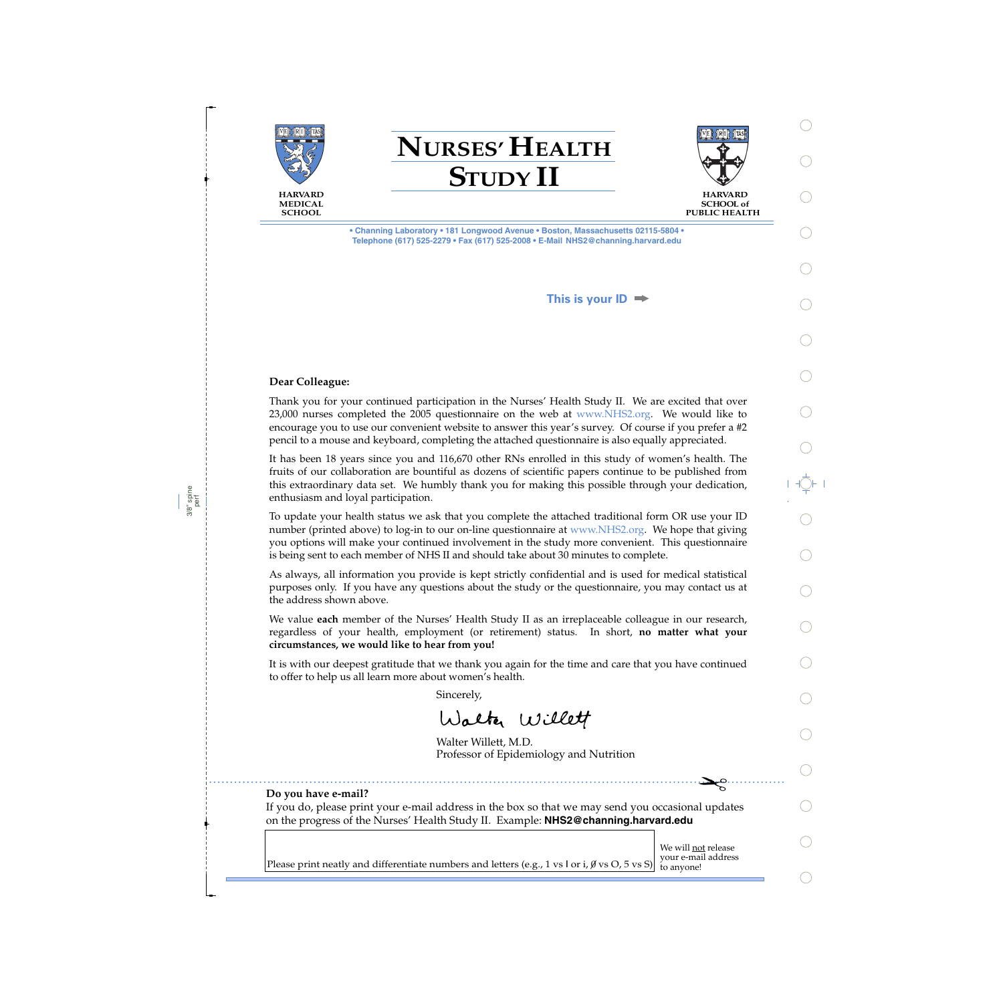





**SCHOOL of PUBLIC HEALTH** 

**• Channing Laboratory • 181 Longwood Avenue • Boston, Massachusetts 02115-5804 • Telephone (617) 525-2279 • Fax (617) 525-2008 • E-Mail NHS2@channing.harvard.edu**

**This is your ID**

## **Dear Colleague:**

Thank you for your continued participation in the Nurses' Health Study II. We are excited that over 23,000 nurses completed the 2005 questionnaire on the web at www.NHS2.org. We would like to encourage you to use our convenient website to answer this year's survey. Of course if you prefer a #2 pencil to a mouse and keyboard, completing the attached questionnaire is also equally appreciated.

It has been 18 years since you and 116,670 other RNs enrolled in this study of women's health. The fruits of our collaboration are bountiful as dozens of scientific papers continue to be published from this extraordinary data set. We humbly thank you for making this possible through your dedication, enthusiasm and loyal participation.

To update your health status we ask that you complete the attached traditional form OR use your ID number (printed above) to log-in to our on-line questionnaire at www.NHS2.org. We hope that giving you options will make your continued involvement in the study more convenient. This questionnaire is being sent to each member of NHS II and should take about 30 minutes to complete.

As always, all information you provide is kept strictly confidential and is used for medical statistical purposes only. If you have any questions about the study or the questionnaire, you may contact us at the address shown above.

We value **each** member of the Nurses' Health Study II as an irreplaceable colleague in our research, regardless of your health, employment (or retirement) status. In short, **no matter what your circumstances, we would like to hear from you!**

It is with our deepest gratitude that we thank you again for the time and care that you have continued to offer to help us all learn more about women's health.

Sincerely,

Walter Willett

Walter Willett, M.D. Professor of Epidemiology and Nutrition

### **Do you have e-mail?**

If you do, please print your e-mail address in the box so that we may send you occasional updates on the progress of the Nurses' Health Study II. Example: **NHS2@channing.harvard.edu**

We will not release<br>your e-mail address

 $\mathbf{E}$  $\mathbf{E}^{\infty}$ 

Please print neatly and differentiate numbers and letters (e.g., 1 vs l or i,  $\emptyset$  vs O, 5 vs S) to anyone!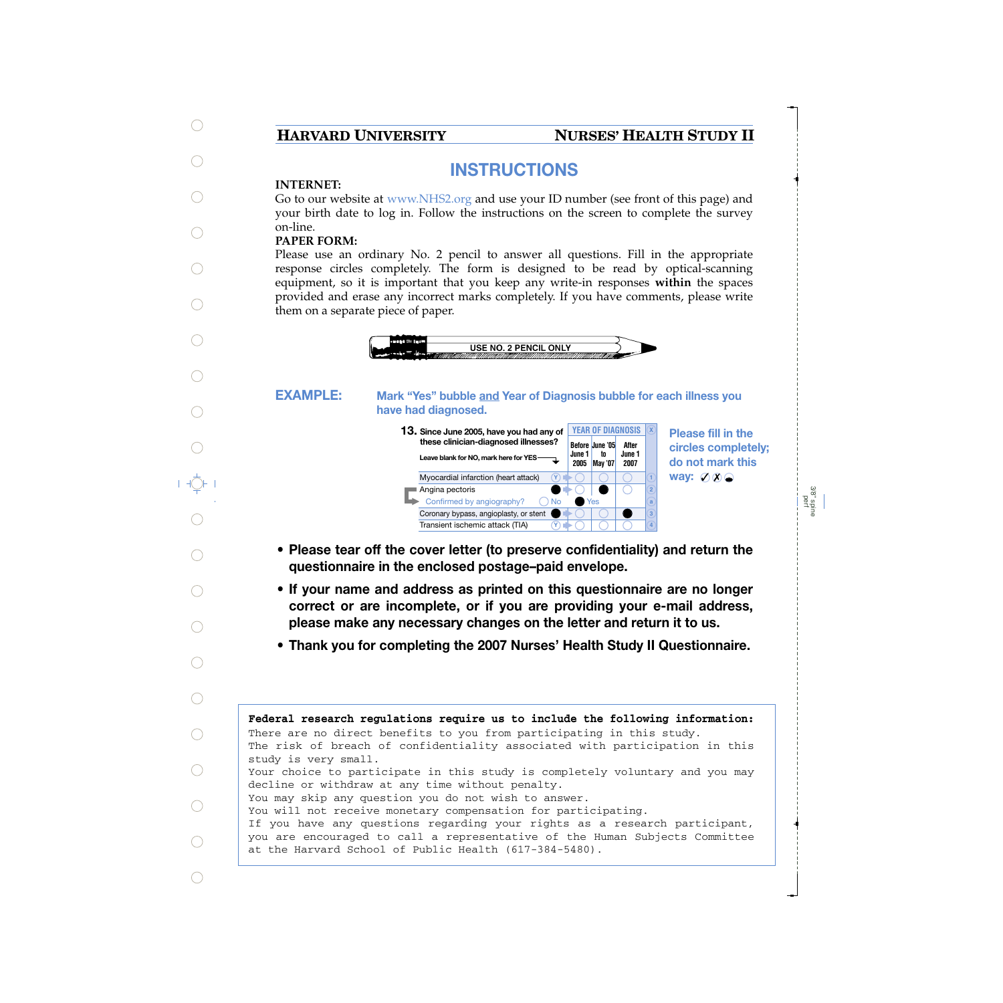# **HARVARD UNIVERSITY NURSES' HEALTH STUDY II**

# **INSTRUCTIONS**

# **INTERNET:**

Go to our website at www.NHS2.org and use your ID number (see front of this page) and your birth date to log in. Follow the instructions on the screen to complete the survey on-line.

# **PAPER FORM:**

Please use an ordinary No. 2 pencil to answer all questions. Fill in the appropriate response circles completely. The form is designed to be read by optical-scanning equipment, so it is important that you keep any write-in responses **within** the spaces provided and erase any incorrect marks completely. If you have comments, please write them on a separate piece of paper.



### **Mark "Yes" bubble and Year of Diagnosis bubble for each illness you have had diagnosed. EXAMPLE:**

**Before June '05 June 1 2005 May '07 to After June 1 2007 13. <sup>X</sup> Since June 2005, have you had any of these clinician-diagnosed illnesses? Leave blank for NO, mark here for YES** YEAR OF DIAGNOSIS **X** Myocardial infarction (heart attack) ■ Angina pectoris Confirmed by angiography? Coronary bypass, angioplasty, or stent Transient ischemic attack (TIA) No Yes **Y Y**

**Please fill in the circles completely; do not mark this way:** ⊘ **⊘** 

> 3/8" spine perf

- **Please tear off the cover letter (to preserve confidentiality) and return the questionnaire in the enclosed postage–paid envelope.**
- **If your name and address as printed on this questionnaire are no longer correct or are incomplete, or if you are providing your e-mail address, please make any necessary changes on the letter and return it to us.**
- **Thank you for completing the 2007 Nurses' Health Study II Questionnaire.**

**Federal research regulations require us to include the following information:** The risk of breach of confidentiality associated with participation in this study is very small. Your choice to participate in this study is completely voluntary and you may decline or withdraw at any time without penalty. You may skip any question you do not wish to answer. You will not receive monetary compensation for participating. If you have any questions regarding your rights as a research participant, you are encouraged to call a representative of the Human Subjects Committee at the Harvard School of Public Health (617-384-5480). There are no direct benefits to you from participating in this study.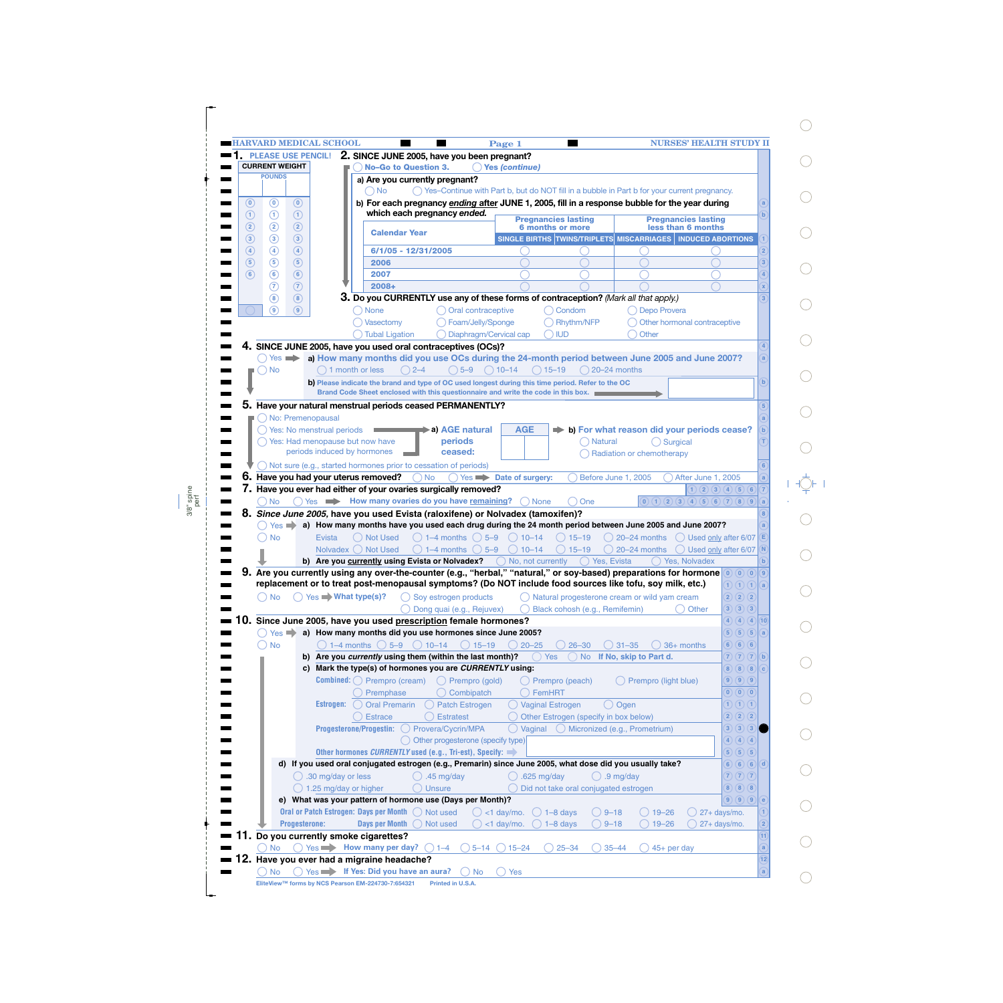|                                     | <b>PLEASE USE PENCIL!</b>                   | 2. SINCE JUNE 2005, have you been pregnant?                                                                                       |                                              |                                                  |                                                                                                |                                            |                                                  |                                                                                                                                                                                                                                                                                                                         |                |
|-------------------------------------|---------------------------------------------|-----------------------------------------------------------------------------------------------------------------------------------|----------------------------------------------|--------------------------------------------------|------------------------------------------------------------------------------------------------|--------------------------------------------|--------------------------------------------------|-------------------------------------------------------------------------------------------------------------------------------------------------------------------------------------------------------------------------------------------------------------------------------------------------------------------------|----------------|
| <b>CURRENT WEIGHT</b>               |                                             | No-Go to Question 3.                                                                                                              |                                              | <b>Yes (continue)</b>                            |                                                                                                |                                            |                                                  |                                                                                                                                                                                                                                                                                                                         |                |
| <b>POUNDS</b>                       |                                             |                                                                                                                                   | a) Are you currently pregnant?               |                                                  |                                                                                                |                                            |                                                  |                                                                                                                                                                                                                                                                                                                         |                |
|                                     |                                             | ○ No                                                                                                                              |                                              |                                                  | ◯ Yes-Continue with Part b, but do NOT fill in a bubble in Part b for your current pregnancy.  |                                            |                                                  |                                                                                                                                                                                                                                                                                                                         |                |
| $\left( 0\right)$<br>$\circledcirc$ | $\circledcirc$                              |                                                                                                                                   |                                              |                                                  | b) For each pregnancy ending after JUNE 1, 2005, fill in a response bubble for the year during |                                            |                                                  |                                                                                                                                                                                                                                                                                                                         |                |
| ⊕<br>$\odot$                        | $\circled{1}$                               |                                                                                                                                   | which each pregnancy ended.                  |                                                  |                                                                                                |                                            |                                                  |                                                                                                                                                                                                                                                                                                                         |                |
| $\circled{2}$<br>$^\copyright$      | $\circled{2}$                               |                                                                                                                                   |                                              |                                                  | <b>Pregnancies lasting</b><br><b>6 months or more</b>                                          |                                            | <b>Pregnancies lasting</b><br>less than 6 months |                                                                                                                                                                                                                                                                                                                         |                |
| $\circled{3}$<br>$\circled{3}$      | $\circled{3}$                               | <b>Calendar Year</b>                                                                                                              |                                              |                                                  | SINGLE BIRTHS TWINS/TRIPLETS MISCARRIAGES   INDUCED ABORTIONS                                  |                                            |                                                  |                                                                                                                                                                                                                                                                                                                         |                |
|                                     |                                             |                                                                                                                                   |                                              |                                                  |                                                                                                |                                            |                                                  |                                                                                                                                                                                                                                                                                                                         |                |
| $\circled{4}$<br>$\bigcirc$         | $\circled{4}$                               | 6/1/05 - 12/31/2005                                                                                                               |                                              |                                                  |                                                                                                |                                            |                                                  |                                                                                                                                                                                                                                                                                                                         |                |
| $\circled{5}$<br>$\circleds$        | $\circled{5}$                               | 2006                                                                                                                              |                                              |                                                  |                                                                                                |                                            |                                                  |                                                                                                                                                                                                                                                                                                                         | 3              |
| $\odot$<br>$\left( 6\right)$        | $\circledast$                               | 2007                                                                                                                              |                                              |                                                  |                                                                                                |                                            |                                                  |                                                                                                                                                                                                                                                                                                                         |                |
| $\circledR$                         | $\circledR$                                 | $2008+$                                                                                                                           |                                              |                                                  |                                                                                                |                                            |                                                  |                                                                                                                                                                                                                                                                                                                         |                |
| $\circled{8}$                       | $\circled{8}$                               | 3. Do you CURRENTLY use any of these forms of contraception? (Mark all that apply.)                                               |                                              |                                                  |                                                                                                |                                            |                                                  |                                                                                                                                                                                                                                                                                                                         |                |
| (၅)                                 | $\circledcirc$                              | <b>None</b>                                                                                                                       | O Oral contraceptive                         |                                                  | ( ) Condom                                                                                     | Depo Provera                               |                                                  |                                                                                                                                                                                                                                                                                                                         |                |
|                                     |                                             | Vasectomy                                                                                                                         | Foam/Jelly/Sponge                            |                                                  | ◯ Rhythm/NFP                                                                                   | Other hormonal contraceptive               |                                                  |                                                                                                                                                                                                                                                                                                                         |                |
|                                     |                                             | () Tubal Ligation                                                                                                                 |                                              | Diaphragm/Cervical cap                           | $\bigcap$ IUD                                                                                  | Other                                      |                                                  |                                                                                                                                                                                                                                                                                                                         |                |
|                                     |                                             | 4. SINCE JUNE 2005, have you used oral contraceptives (OCs)?                                                                      |                                              |                                                  |                                                                                                |                                            |                                                  |                                                                                                                                                                                                                                                                                                                         |                |
| $()$ Yes $\Rightarrow$              |                                             | a) How many months did you use OCs during the 24-month period between June 2005 and June 2007?                                    |                                              |                                                  |                                                                                                |                                            |                                                  |                                                                                                                                                                                                                                                                                                                         |                |
| → No                                |                                             | $() 2 - 4$<br>1 month or less                                                                                                     | $() 5 - 9$                                   | $() 10-14$                                       | $()15-19$<br>$\bigcap$ 20–24 months                                                            |                                            |                                                  |                                                                                                                                                                                                                                                                                                                         |                |
|                                     |                                             | b) Please indicate the brand and type of OC used longest during this time period. Refer to the OC                                 |                                              |                                                  |                                                                                                |                                            |                                                  |                                                                                                                                                                                                                                                                                                                         |                |
|                                     |                                             | Brand Code Sheet enclosed with this questionnaire and write the code in this box.                                                 |                                              |                                                  |                                                                                                |                                            |                                                  |                                                                                                                                                                                                                                                                                                                         |                |
|                                     |                                             | 5. Have your natural menstrual periods ceased PERMANENTLY?                                                                        |                                              |                                                  |                                                                                                |                                            |                                                  |                                                                                                                                                                                                                                                                                                                         |                |
|                                     | No: Premenopausal                           |                                                                                                                                   |                                              |                                                  |                                                                                                |                                            |                                                  |                                                                                                                                                                                                                                                                                                                         |                |
|                                     | Yes: No menstrual periods                   |                                                                                                                                   | <b>→ a) AGE natural</b>                      | <b>AGE</b>                                       |                                                                                                | b) For what reason did your periods cease? |                                                  |                                                                                                                                                                                                                                                                                                                         |                |
|                                     |                                             | ◯ Yes: Had menopause but now have                                                                                                 | periods                                      |                                                  | ) Natural                                                                                      | $\bigcap$ Surgical                         |                                                  |                                                                                                                                                                                                                                                                                                                         |                |
|                                     |                                             | periods induced by hormones                                                                                                       | ceased:                                      |                                                  |                                                                                                | Radiation or chemotherapy                  |                                                  |                                                                                                                                                                                                                                                                                                                         |                |
|                                     |                                             | $\bigcirc$ Not sure (e.g., started hormones prior to cessation of periods)                                                        |                                              |                                                  |                                                                                                |                                            |                                                  |                                                                                                                                                                                                                                                                                                                         |                |
|                                     |                                             | $6.$ Have you had your uterus removed?                                                                                            | $\bigcap$ No                                 | $\bigcap$ Yes $\longrightarrow$ Date of surgery: |                                                                                                | Before June 1, 2005                        | <b>After June 1, 2005</b>                        |                                                                                                                                                                                                                                                                                                                         |                |
|                                     |                                             | 7. Have you ever had either of your ovaries surgically removed?                                                                   |                                              |                                                  |                                                                                                |                                            |                                                  |                                                                                                                                                                                                                                                                                                                         |                |
| ) No<br>$Yes \implies$              |                                             | ◯ Yes → How many ovaries do you have remaining?<br>8. Since June 2005, have you used Evista (raloxifene) or Nolvadex (tamoxifen)? |                                              | ( ) None                                         | One                                                                                            | (0)(1)(2)(3)(4)(5)(6)(7)(8)(9)             |                                                  | 1)(2)(3)(4)(5)(6)                                                                                                                                                                                                                                                                                                       |                |
| <b>No</b>                           | Evista                                      | a) How many months have you used each drug during the 24 month period between June 2005 and June 2007?<br>○ Not Used              | $() 1-4$ months $() 5-9$                     | $() 10-14$                                       | $() 15 - 19$                                                                                   | $\bigcirc$ 20–24 months                    | () Used only after 6/07                          |                                                                                                                                                                                                                                                                                                                         | Έ              |
|                                     |                                             | Nolvadex () Not Used                                                                                                              | $() 1-4$ months $() 5-9$                     | $() 10 - 14$                                     | $() 15 - 19$                                                                                   | 20-24 months                               | $\bigcirc$ Used only after 6/07                  |                                                                                                                                                                                                                                                                                                                         | N              |
|                                     |                                             | b) Are you currently using Evista or Nolvadex?                                                                                    |                                              | $\bigcirc$ No, not currently                     | () Yes, Evista                                                                                 |                                            | () Yes, Nolvadex                                 |                                                                                                                                                                                                                                                                                                                         |                |
|                                     |                                             | 9. Are you currently using any over-the-counter (e.g., "herbal," "natural," or soy-based) preparations for hormone                |                                              |                                                  |                                                                                                |                                            |                                                  | $\left[\begin{smallmatrix} \mathbf{0} \end{smallmatrix}\right] \left(\begin{smallmatrix} \mathbf{0} \end{smallmatrix}\right) \left(\begin{smallmatrix} \mathbf{0} \end{smallmatrix}\right) \left[\begin{smallmatrix} \mathbf{0} \end{smallmatrix}\right] \left(\begin{smallmatrix} \mathbf{0} \end{smallmatrix}\right)$ |                |
|                                     |                                             | replacement or to treat post-menopausal symptoms? (Do NOT include food sources like tofu, soy milk, etc.)                         |                                              |                                                  |                                                                                                |                                            |                                                  | $\left  \left( 1\right) \left( 1\right) \left( 0\right) \right $ (a)                                                                                                                                                                                                                                                    |                |
| O No                                | $\bigcirc$ Yes $\blacksquare$ What type(s)? |                                                                                                                                   | $\bigcirc$ Soy estrogen products             |                                                  | $\bigcirc$ Natural progesterone cream or wild yam cream                                        |                                            |                                                  | 2) 2) 2                                                                                                                                                                                                                                                                                                                 |                |
|                                     |                                             |                                                                                                                                   | Dong quai (e.g., Rejuvex)                    |                                                  | Black cohosh (e.g., Remifemin)                                                                 |                                            | Other                                            | $3)$ $(3)$ $(3)$                                                                                                                                                                                                                                                                                                        |                |
| 10.                                 |                                             | Since June 2005, have you used prescription female hormones?                                                                      |                                              |                                                  |                                                                                                |                                            |                                                  | $\left( 4\right) (4) (4)$                                                                                                                                                                                                                                                                                               |                |
| $Yes \implies$                      |                                             | a) How many months did you use hormones since June 2005?                                                                          |                                              |                                                  |                                                                                                |                                            |                                                  | $5)$ $(5)$ $(5)$                                                                                                                                                                                                                                                                                                        | a)             |
| $\bigcirc$ No                       |                                             | $\bigcirc$ 1–4 months $\bigcirc$ 5–9                                                                                              | () 10–14<br>$()15-19$                        | $20 - 25$                                        | $26 - 30$                                                                                      | $\bigcirc$ 31-35<br>$\bigcirc$ 36+ months  |                                                  | $6)$ $6)$ $6$                                                                                                                                                                                                                                                                                                           |                |
|                                     |                                             | b) Are you currently using them (within the last month)?                                                                          |                                              |                                                  | Yes                                                                                            | () No If No, skip to Part d.               |                                                  | $7)$ $(7)$ $(7)$                                                                                                                                                                                                                                                                                                        | $\mathbf{b}$   |
|                                     |                                             |                                                                                                                                   |                                              |                                                  |                                                                                                |                                            |                                                  | 8)(8)(8)                                                                                                                                                                                                                                                                                                                |                |
|                                     |                                             | c) Mark the type(s) of hormones you are CURRENTLY using:                                                                          |                                              |                                                  |                                                                                                |                                            |                                                  |                                                                                                                                                                                                                                                                                                                         |                |
|                                     |                                             | <b>Combined:</b> $\bigcirc$ Prempro (cream)                                                                                       | ◯ Prempro (gold)                             |                                                  | Prempro (peach)                                                                                | () Prempro (light blue)                    |                                                  | $\left( \mathbf{9}\right) \left( \mathbf{9}\right) \left( \mathbf{9}\right)$                                                                                                                                                                                                                                            |                |
|                                     |                                             | Premphase                                                                                                                         | () Combipatch                                |                                                  | $\bigcirc$ FemHRT                                                                              |                                            |                                                  |                                                                                                                                                                                                                                                                                                                         |                |
|                                     |                                             | <b>Estrogen:</b> $\bigcirc$ Oral Premarin                                                                                         | ◯ Patch Estrogen                             |                                                  | () Vaginal Estrogen                                                                            | $\bigcirc$ Ogen                            |                                                  | $\mathfrak{f}$ ) $\mathfrak{f}$ ) $\mathfrak{f}$                                                                                                                                                                                                                                                                        |                |
|                                     |                                             | <b>Estrace</b>                                                                                                                    | ◯ Estratest                                  |                                                  | Other Estrogen (specify in box below)                                                          |                                            |                                                  | 2) (2) (2)                                                                                                                                                                                                                                                                                                              |                |
|                                     |                                             | Progesterone/Progestin: O Provera/Cycrin/MPA                                                                                      |                                              |                                                  | $\bigcirc$ Vaginal $\bigcirc$ Micronized (e.g., Prometrium)                                    |                                            |                                                  | $3)$ $(3)$ $(3)$                                                                                                                                                                                                                                                                                                        |                |
|                                     |                                             |                                                                                                                                   | $\bigcirc$ Other progesterone (specify type) |                                                  |                                                                                                |                                            |                                                  | $\left(4\right)$ $\left(4\right)$ $\left(4\right)$                                                                                                                                                                                                                                                                      |                |
|                                     |                                             | Other hormones CURRENTLY used (e.g., Tri-est), Specify:                                                                           |                                              |                                                  |                                                                                                |                                            |                                                  | $\boxed{5}$ $\boxed{5}$ $\boxed{5}$                                                                                                                                                                                                                                                                                     |                |
|                                     |                                             | d) If you used oral conjugated estrogen (e.g., Premarin) since June 2005, what dose did you usually take?                         |                                              |                                                  |                                                                                                |                                            |                                                  | $6)$ $6)$ $6)$                                                                                                                                                                                                                                                                                                          | $\overline{d}$ |
|                                     | $\bigcirc$ .30 mg/day or less               |                                                                                                                                   | $( )$ .45 mg/day                             |                                                  | $.625$ mg/day                                                                                  | $()$ .9 mg/day                             |                                                  | $\overline{7}$ $\overline{7}$ $\overline{7}$ $\overline{7}$                                                                                                                                                                                                                                                             |                |
|                                     | $\bigcirc$ 1.25 mg/day or higher            |                                                                                                                                   | <b>Unsure</b>                                |                                                  | Did not take oral conjugated estrogen                                                          |                                            |                                                  | $8)$ $(8)$ $(8)$                                                                                                                                                                                                                                                                                                        |                |
|                                     |                                             | e) What was your pattern of hormone use (Days per Month)?                                                                         |                                              |                                                  |                                                                                                |                                            |                                                  | $9)$ $(9)$ $(9)$                                                                                                                                                                                                                                                                                                        | $\mathbf e$    |
|                                     |                                             | Oral or Patch Estrogen: Days per Month  O Not used                                                                                |                                              | $\bigcirc$ <1 day/mo.                            | $\bigcirc$ 1-8 days                                                                            | $\bigcirc$ 19–26<br>$9 - 18$               |                                                  | 27+ days/mo.                                                                                                                                                                                                                                                                                                            |                |
|                                     | <b>Progesterone:</b>                        | Days per Month                                                                                                                    | ( ) Not used                                 | $()$ <1 day/mo.                                  | $\bigcirc$ 1-8 days                                                                            | $9 - 18$<br>$19 - 26$                      |                                                  | 27+ days/mo.                                                                                                                                                                                                                                                                                                            |                |
| 11.                                 |                                             | Do you currently smoke cigarettes?                                                                                                |                                              |                                                  |                                                                                                |                                            |                                                  |                                                                                                                                                                                                                                                                                                                         | $\vert$ 11)    |
| <b>No</b>                           |                                             | Yes Now many per day?                                                                                                             | $5 - 14$<br>$() 1 - 4$                       | $15 - 24$                                        | $25 - 34$                                                                                      | $35 - 44$                                  |                                                  |                                                                                                                                                                                                                                                                                                                         | $\mathbf{a}$   |
|                                     |                                             | 2. Have you ever had a migraine headache?                                                                                         |                                              |                                                  |                                                                                                | 45+ per day                                |                                                  |                                                                                                                                                                                                                                                                                                                         | (12)           |

perf

 $\bigcirc$  $\bigcirc$  $\bigcirc$  $\bigcirc$  $\bigcirc$  $\bigcirc$ 

 $\bigcirc$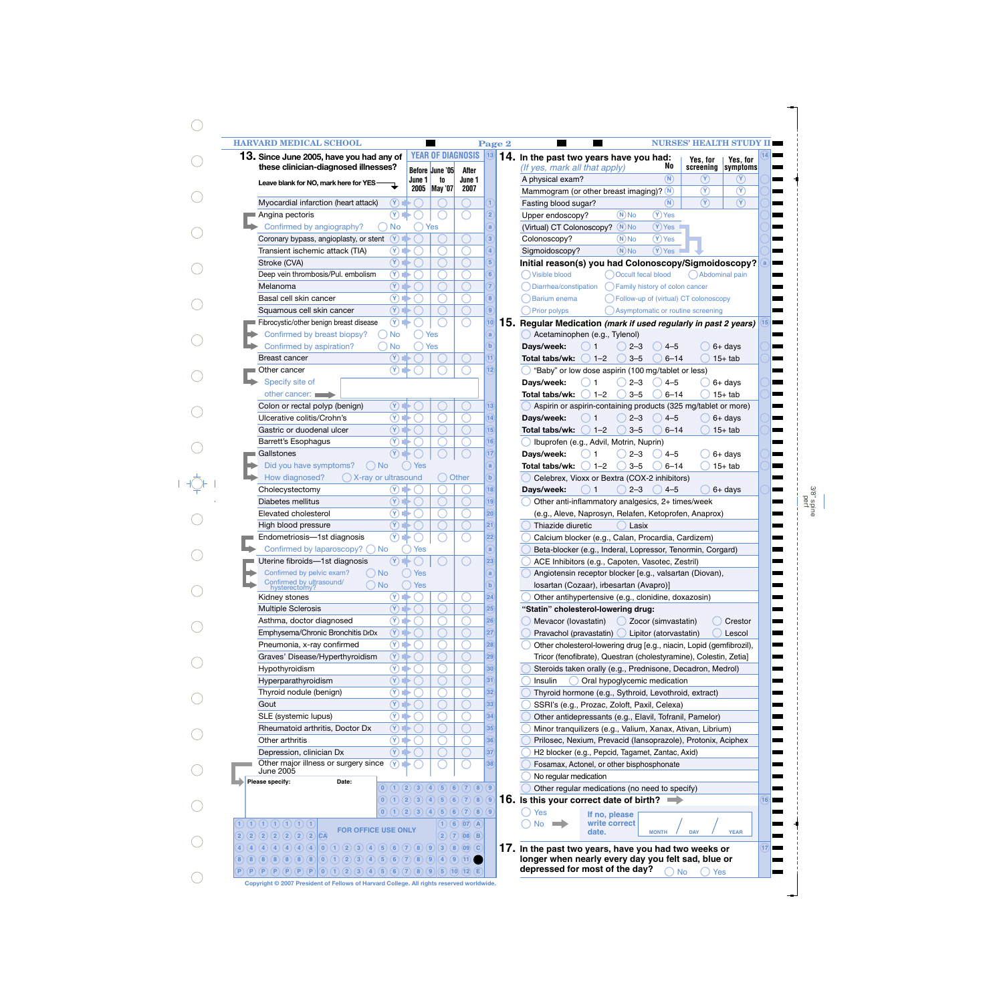|                                     | <b>HARVARD MEDICAL SCHOOL</b>                         |                                        |                    |                 |                                                             | Page 2                  | <b>NURSES' HEALTH STUDY II</b>                                       |
|-------------------------------------|-------------------------------------------------------|----------------------------------------|--------------------|-----------------|-------------------------------------------------------------|-------------------------|----------------------------------------------------------------------|
|                                     | 13. Since June 2005, have you had any of              |                                        |                    |                 | <b>YEAR OF DIAGNOSIS</b>                                    | (13)                    | 14. In the past two years have you had:<br>Yes, for<br>Yes, for      |
|                                     | these clinician-diagnosed illnesses?                  |                                        |                    | Before June '05 | After                                                       |                         | No<br>(If yes, mark all that apply)<br>screening<br>symptoms         |
|                                     | Leave blank for NO, mark here for YES-                |                                        | June 1             | to              | June 1                                                      |                         | $\binom{N}{k}$<br>$(\Upsilon)$<br>(Y)<br>A physical exam?            |
|                                     |                                                       |                                        | 2005               | <b>May '07</b>  | 2007                                                        |                         | $\circledR$<br>$\circledR$<br>Mammogram (or other breast imaging)? N |
|                                     | Myocardial infarction (heart attack)                  | $\left( \mathbf{V}\right)$             |                    |                 |                                                             |                         | $\circledcirc$<br>$\circledR$<br>(N)<br>Fasting blood sugar?         |
|                                     | Angina pectoris                                       | $^\circledR$                           |                    |                 |                                                             |                         | $(N)$ No<br>$(Y)$ Yes<br>Upper endoscopy?                            |
|                                     | Confirmed by angiography?                             | <b>No</b>                              |                    | Yes             |                                                             | a                       | $(N)$ No<br>$(Y)$ Yes<br>(Virtual) CT Colonoscopy?                   |
|                                     | Coronary bypass, angioplasty, or stent                | $\circled{r}$                          |                    |                 |                                                             | 3                       | $(Y)$ Yes<br>$(N)$ No<br>Colonoscopy?                                |
|                                     | Transient ischemic attack (TIA)                       | $\circledR$ i                          | 2                  |                 |                                                             |                         | $(Y)$ Yes<br>$(N)$ No<br>Sigmoidoscopy?                              |
| Stroke (CVA)                        |                                                       | $(\overline{Y})$                       |                    |                 |                                                             | $\overline{5}$          | Initial reason(s) you had Colonoscopy/Sigmoidoscopy?                 |
|                                     | Deep vein thrombosis/Pul. embolism                    | $\circledR$                            | O                  |                 |                                                             | $6 \overline{6}$        | () Visible blood<br>Occult fecal blood<br>Abdominal pain             |
| Melanoma                            |                                                       | $\circledR$ i                          | O                  |                 |                                                             | $\overline{7}$          | Family history of colon cancer<br>Diarrhea/constipation              |
|                                     | Basal cell skin cancer                                | $(\overline{\mathsf{Y}})$ i            | O                  |                 |                                                             | $\overline{\mathbf{8}}$ | Barium enema<br>() Follow-up of (virtual) CT colonoscopy             |
|                                     | Squamous cell skin cancer                             | $(\overline{Y})$ i                     |                    |                 |                                                             | $\overline{9}$          | Prior polyps<br>Asymptomatic or routine screening                    |
|                                     | Fibrocystic/other benign breast disease               | $^\circledR$                           |                    |                 |                                                             | (10)                    | 15. Regular Medication (mark if used regularly in past 2 years)      |
|                                     | Confirmed by breast biopsy?                           | No                                     |                    | Yes             |                                                             | $\mathbf a$             |                                                                      |
|                                     |                                                       |                                        |                    |                 |                                                             |                         | Acetaminophen (e.g., Tylenol)                                        |
|                                     | Confirmed by aspiration?                              | <b>No</b>                              |                    | Yes             |                                                             | b                       | Days/week:<br>$2 - 3$<br>$4 - 5$<br>6+ days<br>$\mathbf{1}$          |
|                                     | Breast cancer                                         | $(\Upsilon)$                           |                    |                 |                                                             | (11)                    | $() 1 - 2$<br>$3 - 5$<br>$6 - 14$<br>Total tabs/wk:<br>$15+$ tab     |
| Other cancer                        |                                                       | $\circledR$                            |                    |                 |                                                             | $\overline{12}$         | "Baby" or low dose aspirin (100 mg/tablet or less)                   |
|                                     | Specify site of                                       |                                        |                    |                 |                                                             |                         | $2 - 3$<br>Days/week:<br>$4 - 5$<br>$\mathbf 1$<br>$6+$ days         |
|                                     | other cancer:                                         |                                        |                    |                 |                                                             |                         | $) 1 - 2$<br>$3 - 5$<br>$6 - 14$<br>Total tabs/wk:<br>$15+$ tab      |
|                                     | Colon or rectal polyp (benign)                        | $\circled{r}$                          |                    |                 |                                                             | (13)                    | Aspirin or aspirin-containing products (325 mg/tablet or more)       |
|                                     | Ulcerative colitis/Crohn's                            | $\circledcirc$                         | ○                  |                 |                                                             | (14)                    | $2 - 3$<br>$4 - 5$<br>Days/week:<br>$6+$ days<br>$\mathbf{1}$        |
|                                     | Gastric or duodenal ulcer                             | $\left(\overline{\mathsf{Y}}\right)$ i | $(\ )$             |                 |                                                             | (15)                    | $() 1 - 2$<br>$3 - 5$<br>$6 - 14$<br>Total tabs/wk:<br>$15+$ tab     |
|                                     | Barrett's Esophagus                                   | $(\overline{\mathsf{Y}})$ i            |                    |                 |                                                             | (16)                    | Ibuprofen (e.g., Advil, Motrin, Nuprin)                              |
| Gallstones                          |                                                       | (Y)                                    |                    |                 |                                                             | (17)                    | Days/week:<br>$2 - 3$<br>$6+$ days<br>$4 - 5$<br>1                   |
|                                     | Did you have symptoms?<br>$()$ No                     |                                        | Yes                |                 |                                                             | $\mathbf a$             | $) 1 - 2$<br>$3 - 5$<br>Total tabs/wk:<br>$6 - 14$<br>$15+$ tab      |
|                                     | ◯ X-ray or ultrasound<br>How diagnosed?               |                                        |                    |                 | Other                                                       | b                       | Celebrex, Vioxx or Bextra (COX-2 inhibitors)                         |
|                                     | Cholecystectomy                                       | $(\mathsf{Y})$                         |                    |                 |                                                             | (18)                    | $2 - 3$<br>$4 - 5$<br>Days/week:<br>$\mathbf{1}$<br>$6+$ days        |
|                                     | Diabetes mellitus                                     | $\circledR$ i                          | ○                  |                 |                                                             | (19)                    | Other anti-inflammatory analgesics, 2+ times/week                    |
|                                     | Elevated cholesterol                                  | $\circledR$ .                          | O                  |                 |                                                             | $\left( 20 \right)$     | (e.g., Aleve, Naprosyn, Relafen, Ketoprofen, Anaprox)                |
|                                     | High blood pressure                                   | $\circledR$ i                          |                    |                 |                                                             | (21)                    | Thiazide diuretic<br>Lasix                                           |
|                                     | Endometriosis-1st diagnosis                           | $\circledR$                            |                    |                 |                                                             | $^{22}$                 | Calcium blocker (e.g., Calan, Procardia, Cardizem)                   |
|                                     | Confirmed by laparoscopy? (                           | ) No                                   | Yes                |                 |                                                             | $\mathbf{a}$            | Beta-blocker (e.g., Inderal, Lopressor, Tenormin, Corgard)           |
|                                     | Uterine fibroids-1st diagnosis                        | $\circledR$                            |                    |                 |                                                             | $\left( 23\right)$      | ACE Inhibitors (e.g., Capoten, Vasotec, Zestril)                     |
|                                     | Confirmed by pelvic exam?<br>()No                     |                                        | ) Yes              |                 |                                                             | a                       | Angiotensin receptor blocker [e.g., valsartan (Diovan),              |
|                                     | Confirmed by ultrasound/<br>$\bigcap$ No              |                                        | Yes                |                 |                                                             | $\mathbf{b}$            | Iosartan (Cozaar), irbesartan (Avapro)]                              |
|                                     | hvsterectomv'<br>Kidney stones                        | $\circledR$                            |                    |                 |                                                             | (24)                    | Other antihypertensive (e.g., clonidine, doxazosin)                  |
|                                     | <b>Multiple Sclerosis</b>                             | $\circledR$ i                          | ∩                  |                 |                                                             | (25)                    | "Statin" cholesterol-lowering drug:                                  |
|                                     | Asthma, doctor diagnosed                              | $\circledR$                            | €                  |                 |                                                             | (26)                    | Mevacor (lovastatin)<br>() Zocor (simvastatin)<br>Crestor            |
|                                     | Emphysema/Chronic Bronchitis DrDx                     | $\circled{r}$                          | €                  |                 |                                                             | $\overline{27}$         |                                                                      |
|                                     |                                                       |                                        | Œ                  |                 |                                                             |                         | Pravachol (pravastatin) D Lipitor (atorvastatin)<br>Lescol           |
|                                     | Pneumonia, x-ray confirmed                            | $(\mathsf{Y})$                         |                    |                 |                                                             | (28)                    | Other cholesterol-lowering drug [e.g., niacin, Lopid (gemfibrozil),  |
|                                     | Graves' Disease/Hyperthyroidism                       | $\circledcirc$ i                       |                    |                 |                                                             | (29)                    | Tricor (fenofibrate), Questran (cholestyramine), Colestin, Zetia]    |
|                                     | Hypothyroidism                                        | $(\mathsf{Y})$ i                       |                    |                 |                                                             | (30)                    | Steroids taken orally (e.g., Prednisone, Decadron, Medrol)           |
|                                     | Hyperparathyroidism                                   | $\circledR$ i                          | 8                  |                 |                                                             | (31)                    | Insulin<br>Oral hypoglycemic medication                              |
|                                     | Thyroid nodule (benign)                               | $(\overline{\mathsf{Y}})$ .            | Œ                  |                 |                                                             | $\overline{32}$         | Thyroid hormone (e.g., Sythroid, Levothroid, extract)                |
| Gout                                |                                                       | $\circledR$ i                          | 0                  |                 |                                                             | (33)                    | SSRI's (e.g., Prozac, Zoloft, Paxil, Celexa)                         |
|                                     | SLE (systemic lupus)                                  | $(\overline{\mathsf{Y}})$ is           | Œ                  |                 |                                                             | $\overline{34}$         | Other antidepressants (e.g., Elavil, Tofranil, Pamelor)              |
|                                     | Rheumatoid arthritis, Doctor Dx                       | $\circledR$ i                          | 0                  |                 |                                                             | (35)                    | Minor tranquilizers (e.g., Valium, Xanax, Ativan, Librium)           |
| Other arthritis                     |                                                       | $(\overline{\mathsf{Y}})$ is           | 0                  |                 |                                                             | (36)                    | Prilosec, Nexium, Prevacid (lansoprazole), Protonix, Aciphex         |
|                                     | Depression, clinician Dx                              | $(\Upsilon)$                           | $(\ )$             |                 |                                                             | (37)                    | H <sub>2</sub> blocker (e.g., Pepcid, Tagamet, Zantac, Axid)         |
|                                     | Other major illness or surgery since                  | $\left( \mathbf{V}\right)$             |                    |                 |                                                             | 38                      | Fosamax, Actonel, or other bisphosphonate                            |
| June 2005                           |                                                       |                                        |                    |                 |                                                             |                         | No regular medication                                                |
| Please specify:                     | Date:                                                 | 0)(1)(2)                               | $\left( 3 \right)$ | $\circled{4}$   | (5)(6)(7)(8)(9)                                             |                         | Other regular medications (no need to specify)                       |
|                                     |                                                       | (0)(1)(2)(3)                           | (4)                |                 | (5)(6)(7)(8)(9)                                             |                         | 16. Is this your correct date of birth? $\implies$                   |
|                                     |                                                       |                                        |                    |                 | $(0)$ $(1)$ $(2)$ $(3)$ $(4)$ $(5)$ $(6)$ $(7)$ $(8)$ $(9)$ |                         | Yes<br>If no, please                                                 |
| 1) (1) (1) (1) (1) (1) (1)          |                                                       |                                        |                    |                 | $1)$ (6) (07) (A)                                           |                         | write correct<br><b>No</b><br><b>START CONTINUES</b>                 |
|                                     | <b>FOR OFFICE USE ONLY</b><br>$(2)(2)(2)(2)(2)(2)$ CA |                                        |                    |                 | (2)(7)(08)(B)                                               |                         | date.<br><b>MONTH</b><br><b>DAY</b><br><b>YEAR</b>                   |
|                                     |                                                       |                                        |                    |                 |                                                             |                         | 17. In the past two years, have you had two weeks or                 |
| $(a)$ $(a)$ $(a)$ $(a)$ $(a)$ $(a)$ | (0)(1)(2)(3)(4)(5)(6)(7)                              |                                        | (8)(9)             |                 | (3)(8)(09)(C)                                               |                         |                                                                      |

**Copyright © 2007 President of Fellows of Harvard College. All rights reserved worldwide.**

3/8" spine perf

 $\bigcirc$ 

 $\bigcirc$ 

 $\bigcirc$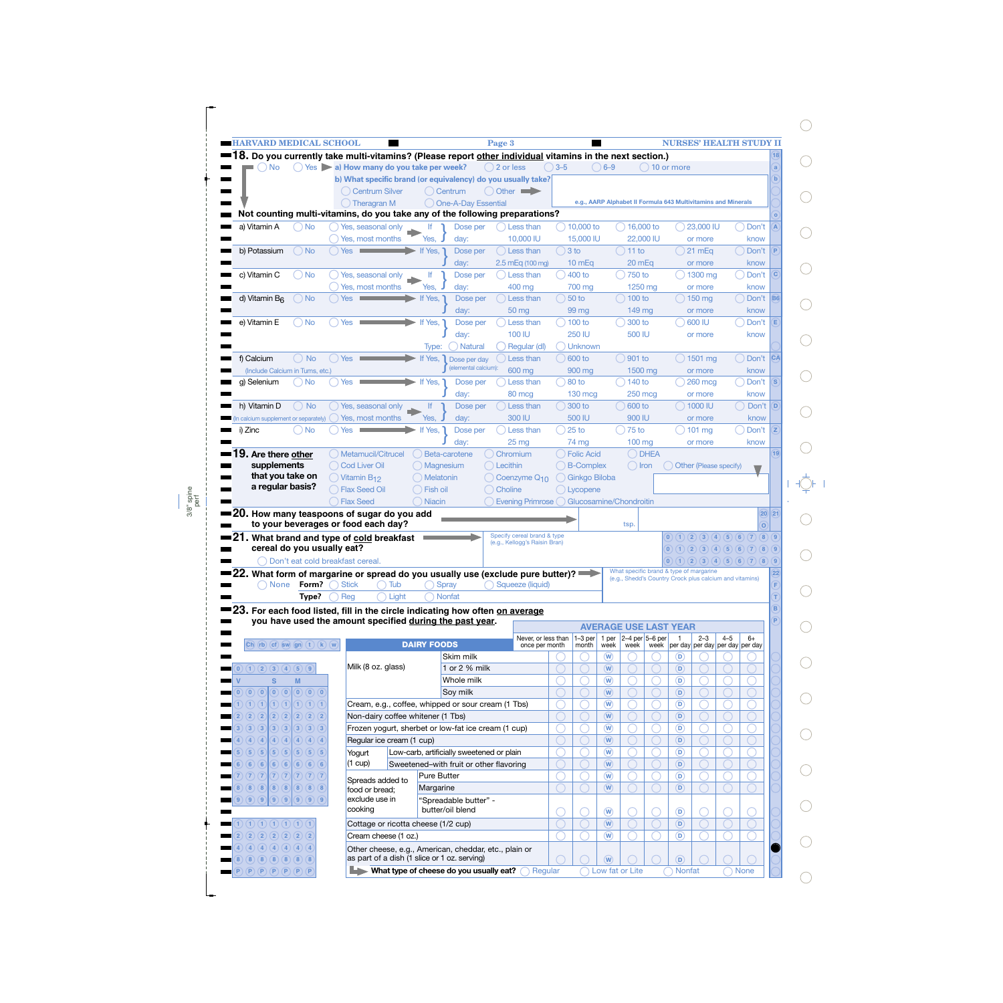|                                                                                                        |                                                                                      | <b>HARVARD MEDICAL SCHOOL</b> |                                                                                 |                    |                                                                                                       | Page 3                                                                                                  |                 |                      |                                      |                                                                                                    |                                       |                    |         | <b>NURSES' HEALTH STUDY II</b> |
|--------------------------------------------------------------------------------------------------------|--------------------------------------------------------------------------------------|-------------------------------|---------------------------------------------------------------------------------|--------------------|-------------------------------------------------------------------------------------------------------|---------------------------------------------------------------------------------------------------------|-----------------|----------------------|--------------------------------------|----------------------------------------------------------------------------------------------------|---------------------------------------|--------------------|---------|--------------------------------|
|                                                                                                        |                                                                                      |                               |                                                                                 |                    |                                                                                                       | 8. Do you currently take multi-vitamins? (Please report other individual vitamins in the next section.) |                 |                      |                                      |                                                                                                    |                                       |                    |         |                                |
| <b>No</b>                                                                                              |                                                                                      |                               | $\bigcirc$ Yes $\bigcirc$ a) How many do you take per week?                     |                    |                                                                                                       | $( ) 2$ or less                                                                                         | $3 - 5$         |                      | $( ) 6 - 9$                          |                                                                                                    | $( ) 10$ or more                      |                    |         |                                |
|                                                                                                        |                                                                                      |                               |                                                                                 |                    |                                                                                                       | b) What specific brand (or equivalency) do you usually take?                                            |                 |                      |                                      |                                                                                                    |                                       |                    |         |                                |
|                                                                                                        |                                                                                      |                               | ( ) Centrum Silver                                                              |                    | ( Centrum                                                                                             | O Other                                                                                                 |                 |                      |                                      |                                                                                                    |                                       |                    |         |                                |
|                                                                                                        |                                                                                      |                               | $( )$ Theragran M                                                               |                    | One-A-Day Essential                                                                                   |                                                                                                         |                 |                      |                                      | e.g., AARP Alphabet II Formula 643 Multivitamins and Minerals                                      |                                       |                    |         |                                |
|                                                                                                        |                                                                                      |                               |                                                                                 |                    |                                                                                                       | Not counting multi-vitamins, do you take any of the following preparations?                             |                 |                      |                                      |                                                                                                    |                                       |                    |         |                                |
| a) Vitamin A                                                                                           | ) No                                                                                 |                               | Yes, seasonal only                                                              | lf.                | Dose per                                                                                              | Less than                                                                                               |                 | $\bigcirc$ 10,000 to |                                      | $\bigcirc$ 16,000 to                                                                               | $(\ )$                                | 23,000 IU          |         | ◯ Don't                        |
|                                                                                                        |                                                                                      |                               | Yes, most months                                                                | Yes,               | day:                                                                                                  | 10,000 IU                                                                                               |                 | 15,000 IU            |                                      | 22,000 IU                                                                                          |                                       | or more            |         | know                           |
| b) Potassium                                                                                           | $\bigcirc$ No                                                                        |                               | $($ $)$ Yes $\qquad \qquad \qquad$                                              | If Yes,            | Dose per                                                                                              | $( )$ Less than                                                                                         | $\bigcirc$ 3 to |                      |                                      | $()$ 11 to                                                                                         |                                       | ( ) 21 mEq         |         | ○ Don't                        |
|                                                                                                        |                                                                                      |                               |                                                                                 |                    | day:                                                                                                  | $2.5$ mEq (100 mg)                                                                                      |                 | 10 <sub>mEq</sub>    |                                      | 20 mEg                                                                                             |                                       | or more            |         | know                           |
| c) Vitamin C                                                                                           | $\bigcirc$ No                                                                        |                               | () Yes, seasonal only                                                           | lf                 | Dose per                                                                                              | Less than                                                                                               |                 | $( ) 400$ to         |                                      | ( ) 750 to                                                                                         |                                       | $( ) 1300$ mg      |         | ) Don't                        |
|                                                                                                        |                                                                                      |                               | Yes, most months                                                                | Yes.               | day:                                                                                                  | 400 mg                                                                                                  |                 | 700 mg               |                                      | 1250 mg                                                                                            |                                       | or more            |         | know                           |
| d) Vitamin B <sub>6</sub>                                                                              | $\bigcirc$ No                                                                        | Yes                           |                                                                                 | If Yes,            | Dose per                                                                                              | Less than                                                                                               |                 | $\big)$ 50 to        |                                      | ( ) 100 to                                                                                         |                                       | $( ) 150$ mg       |         | $\bigcirc$ Don't B6            |
|                                                                                                        |                                                                                      |                               |                                                                                 |                    | day:                                                                                                  | 50 mg                                                                                                   |                 | 99 mg                |                                      | $149$ mg                                                                                           |                                       | or more            |         | know                           |
| e) Vitamin E                                                                                           | $\bigcirc$ No                                                                        | $()$ Yes $\blacksquare$       |                                                                                 | If Yes, 1          | Dose per                                                                                              | Less than                                                                                               |                 | ( ) 100 to           |                                      | 300 to                                                                                             |                                       | 600 IU             |         | ) Don't                        |
|                                                                                                        |                                                                                      |                               |                                                                                 |                    | day:                                                                                                  | 100 IU                                                                                                  |                 | <b>250 IU</b>        |                                      | 500 IU                                                                                             |                                       | or more            |         | know                           |
|                                                                                                        |                                                                                      |                               |                                                                                 |                    | <b>Natural</b><br>Type:                                                                               | Regular (dl)                                                                                            |                 | ) Unknown            |                                      |                                                                                                    |                                       |                    |         |                                |
| f) Calcium                                                                                             | $()$ No                                                                              | $()$ Yes                      |                                                                                 | If Yes,            | Dose per day                                                                                          | Less than                                                                                               |                 | $\bigcirc$ 600 to    |                                      | 901 to                                                                                             |                                       | $\bigcirc$ 1501 mg |         | ◯ Don't  CA                    |
| (Include Calcium in Tums, etc.)                                                                        |                                                                                      |                               |                                                                                 |                    | (elemental calcium):                                                                                  | 600 mg                                                                                                  |                 | 900 mg               |                                      | 1500 mg                                                                                            |                                       | or more            |         | know                           |
| g) Selenium                                                                                            | O No                                                                                 | Yes                           |                                                                                 | If Yes,            | Dose per                                                                                              | Less than                                                                                               | $\big)80$ to    |                      |                                      | ( ) 140 to                                                                                         |                                       | 260 mcg            |         | Don't                          |
|                                                                                                        |                                                                                      |                               |                                                                                 |                    | day:                                                                                                  | 80 mcg                                                                                                  |                 | $130 \text{ mcg}$    |                                      | <b>250 mcg</b>                                                                                     |                                       | or more            |         | know                           |
| h) Vitamin D                                                                                           | $\bigcirc$ No                                                                        |                               | Yes, seasonal only                                                              | lf.                | Dose per                                                                                              | Less than                                                                                               |                 | $300$ to             |                                      | 600 to                                                                                             |                                       | $( ) 1000$ IU      |         | Don't                          |
|                                                                                                        |                                                                                      |                               |                                                                                 | Yes,               |                                                                                                       | 300 IU                                                                                                  |                 | 500 IU               |                                      | 900 IU                                                                                             |                                       |                    |         | know                           |
| n calcium supplement or separately)                                                                    |                                                                                      |                               | Yes, most months                                                                |                    | day:                                                                                                  |                                                                                                         |                 | $25$ to              |                                      | $\bigcirc$ 75 to                                                                                   |                                       | or more            |         |                                |
| i) Zinc                                                                                                | ( ) No                                                                               | <b>Yes</b>                    |                                                                                 | If Yes,            | Dose per                                                                                              | Less than                                                                                               |                 |                      |                                      |                                                                                                    |                                       | $\Box$ ) 101 mg    |         | Don't                          |
|                                                                                                        |                                                                                      |                               |                                                                                 |                    | day:                                                                                                  | 25 <sub>mg</sub>                                                                                        |                 | 74 mg                |                                      | 100 mg                                                                                             |                                       | or more            |         | know                           |
| 9. Are there other                                                                                     |                                                                                      |                               | Metamucil/Citrucel                                                              |                    | Beta-carotene                                                                                         | Chromium                                                                                                |                 | <b>Folic Acid</b>    |                                      | $\bigcirc$ DHEA                                                                                    |                                       |                    |         |                                |
| supplements                                                                                            |                                                                                      |                               | ◯ Cod Liver Oil                                                                 |                    | ) Magnesium                                                                                           | Lecithin                                                                                                |                 | <b>B-Complex</b>     |                                      | ◯ Iron                                                                                             | $\bigcirc$ Other (Please specify)     |                    |         |                                |
| that you take on                                                                                       |                                                                                      |                               | $()$ Vitamin B <sub>12</sub>                                                    |                    | ) Melatonin                                                                                           | Coenzyme Q <sub>10</sub>                                                                                |                 | C Ginkgo Biloba      |                                      |                                                                                                    |                                       |                    |         |                                |
|                                                                                                        |                                                                                      |                               |                                                                                 |                    |                                                                                                       |                                                                                                         |                 |                      |                                      |                                                                                                    |                                       |                    |         |                                |
| a regular basis?                                                                                       |                                                                                      |                               | <b>Flax Seed Oil</b><br><b>Flax Seed</b><br>to your beverages or food each day? | ) Niacin           | ) Fish oil                                                                                            | Choline<br>Evening Primrose () Glucosamine/Chondroitin                                                  |                 | () Lycopene          |                                      | tsp.                                                                                               |                                       |                    |         | $(20)$ $(21)$<br>$\alpha$      |
| $\blacksquare$ 20. How many teaspoons of sugar do you add<br>21. What brand and type of cold breakfast |                                                                                      |                               |                                                                                 |                    |                                                                                                       | Specify cereal brand & type<br>(e.g., Kellogg's Raisin Bran)                                            |                 |                      |                                      |                                                                                                    |                                       |                    |         | (0)(1)(2)(3)(4)(5)(6)(7)(8)(9) |
| cereal do you usually eat?                                                                             |                                                                                      |                               |                                                                                 |                    |                                                                                                       |                                                                                                         |                 |                      |                                      |                                                                                                    |                                       |                    |         | (0)(1)(2)(3)(4)(5)(6)(7)(8)(9) |
|                                                                                                        | Don't eat cold breakfast cereal.                                                     |                               |                                                                                 |                    |                                                                                                       |                                                                                                         |                 |                      |                                      |                                                                                                    |                                       |                    |         | (0)(1)(2)(3)(4)(5)(6)(7)(8)(9) |
|                                                                                                        |                                                                                      |                               |                                                                                 |                    |                                                                                                       | = 22. What form of margarine or spread do you usually use (exclude pure butter)? $\implies$             |                 |                      |                                      | What specific brand & type of margarine<br>(e.g., Shedd's Country Crock plus calcium and vitamins) |                                       |                    |         |                                |
| <b>None</b>                                                                                            | Form?                                                                                | <b>Stick</b>                  | Tub                                                                             |                    | Spray                                                                                                 | Saueeze (liquid)                                                                                        |                 |                      |                                      |                                                                                                    |                                       |                    |         |                                |
|                                                                                                        | Type?                                                                                | Reg                           |                                                                                 | Light              | <b>Nonfat</b>                                                                                         |                                                                                                         |                 |                      |                                      |                                                                                                    |                                       |                    |         |                                |
|                                                                                                        |                                                                                      |                               |                                                                                 |                    |                                                                                                       | 23. For each food listed, fill in the circle indicating how often on average                            |                 |                      |                                      |                                                                                                    |                                       |                    |         |                                |
|                                                                                                        |                                                                                      |                               |                                                                                 |                    | you have used the amount specified during the past year.                                              |                                                                                                         |                 |                      |                                      | <b>AVERAGE USE LAST YEAR</b>                                                                       |                                       |                    |         |                                |
|                                                                                                        |                                                                                      |                               |                                                                                 |                    |                                                                                                       | Never, or less than                                                                                     |                 | $1-3$ per            | 1 per                                | $2-4$ per $5-6$ per                                                                                | $\overline{1}$                        | $2 - 3$            | $4 - 5$ | $6+$                           |
| $(Ch)$ $(rb)$ $(cf)$ $\int$ sw) $(gn)$ $(t)$ $(k)$ $(w)$                                               |                                                                                      |                               |                                                                                 | <b>DAIRY FOODS</b> |                                                                                                       | once per month                                                                                          |                 | month                | week                                 | week                                                                                               | week per day per day per day per day  |                    |         |                                |
|                                                                                                        |                                                                                      |                               |                                                                                 |                    | Skim milk                                                                                             |                                                                                                         |                 |                      | $\left(\mathsf{w}\right)$            |                                                                                                    | D)                                    |                    |         |                                |
| (0)(1)(2)(3)(4)(5)(9)                                                                                  |                                                                                      |                               | Milk (8 oz. glass)                                                              |                    | 1 or 2 % milk                                                                                         |                                                                                                         |                 |                      | $\left(\overline{\mathsf{W}}\right)$ |                                                                                                    | D)                                    |                    |         |                                |
| s                                                                                                      | M                                                                                    |                               |                                                                                 |                    | Whole milk                                                                                            |                                                                                                         |                 |                      | $\overline{w}$                       |                                                                                                    | $\circ$                               |                    |         |                                |
| (0)(0)                                                                                                 | $\left[0\right]$ $\left[0\right]$ $\left[0\right]$ $\left[0\right]$ $\left[0\right]$ |                               |                                                                                 |                    | Soy milk                                                                                              |                                                                                                         |                 |                      | $\left(\overline{\mathsf{w}}\right)$ |                                                                                                    | $\left( \mathsf{D}\right)$            |                    |         |                                |
| (1)(1)(1)(1)(1)(1)(1)(1)(1)                                                                            |                                                                                      |                               |                                                                                 |                    | Cream, e.g., coffee, whipped or sour cream (1 Tbs)                                                    |                                                                                                         |                 |                      | $\overline{w}$                       |                                                                                                    | $\circ$                               |                    |         |                                |
| (2)(2)<br>$\left( 2\right)$<br>(2)                                                                     | (2)(2)(2)                                                                            |                               | Non-dairy coffee whitener (1 Tbs)                                               |                    |                                                                                                       |                                                                                                         |                 |                      | $\left(\overline{\mathsf{W}}\right)$ |                                                                                                    | $\left( \mathsf{D}\right)$            |                    |         |                                |
| (3)(3)                                                                                                 | (3)(3)(3)(3)(3)                                                                      |                               |                                                                                 |                    | Frozen yogurt, sherbet or low-fat ice cream (1 cup)                                                   |                                                                                                         |                 |                      | $\left(\widehat{\mathbf{W}}\right)$  |                                                                                                    | (D                                    |                    |         |                                |
| (4)(4)<br>(4)<br>(4)                                                                                   | (4)(4)(4)                                                                            |                               | Regular ice cream (1 cup)                                                       |                    |                                                                                                       |                                                                                                         |                 |                      | $\left(\overline{\mathsf{W}}\right)$ |                                                                                                    | $\left( \mathsf{D}\right)$            |                    |         |                                |
| $\overline{\mathbf{5}}$<br>(5)                                                                         | (5)(5)(5)(5)(5)                                                                      |                               | Yogurt                                                                          |                    | Low-carb, artificially sweetened or plain                                                             |                                                                                                         |                 |                      | $\circled{w}$                        |                                                                                                    | $\circ$                               |                    |         |                                |
| (6)(6)                                                                                                 | (6)(6)(6)(6)(6)                                                                      |                               | (1 cup)                                                                         |                    | Sweetened-with fruit or other flavoring                                                               |                                                                                                         |                 |                      | $\left(\overline{\mathsf{W}}\right)$ |                                                                                                    | $\left( \mathsf{D}\right)$            |                    |         |                                |
| 7)(7)(7)                                                                                               | (7)(7)(7)(7)(7)                                                                      |                               |                                                                                 |                    | Pure Butter                                                                                           |                                                                                                         |                 |                      | $\circled{w}$                        |                                                                                                    | $\circ$                               |                    |         |                                |
| (8)(8)(8)(8)(8)(8)(8)<br>8 <sup>°</sup>                                                                |                                                                                      |                               | Spreads added to<br>food or bread;                                              |                    | Margarine                                                                                             |                                                                                                         |                 |                      | $(\mathbf{W})$                       |                                                                                                    | $\left( \mathsf{D}\right)$            |                    |         |                                |
| (9)(9)(9)(9)(9)(9)(9)                                                                                  |                                                                                      |                               | exclude use in                                                                  |                    | "Spreadable butter" -                                                                                 |                                                                                                         |                 |                      |                                      |                                                                                                    |                                       |                    |         |                                |
|                                                                                                        |                                                                                      |                               | cooking                                                                         |                    | butter/oil blend                                                                                      |                                                                                                         |                 |                      | $\circledR$                          |                                                                                                    | $\circ$                               |                    |         |                                |
| $\bigcap$ $\bigcap$ $\bigcap$ $\bigcap$ $\bigcap$ $\bigcap$ $\bigcap$ $\bigcap$ $\bigcap$              |                                                                                      |                               |                                                                                 |                    |                                                                                                       |                                                                                                         |                 |                      | $\left(\overline{\mathsf{W}}\right)$ |                                                                                                    | $\left( \mathsf{D}\right)$            |                    |         |                                |
| $\overline{2}$                                                                                         |                                                                                      |                               | Cottage or ricotta cheese (1/2 cup)<br>Cream cheese (1 oz.)                     |                    |                                                                                                       |                                                                                                         |                 |                      | $\circled{w}$                        |                                                                                                    | $\circ$                               |                    |         |                                |
| (2)(2)(2)(2)(2)(2)                                                                                     |                                                                                      |                               |                                                                                 |                    |                                                                                                       |                                                                                                         |                 |                      |                                      |                                                                                                    |                                       |                    |         |                                |
| (4)(4)(4)(4)(4)(4)<br>8)(8)(8)(8)(8)(8)(8)                                                             |                                                                                      |                               |                                                                                 |                    | Other cheese, e.g., American, cheddar, etc., plain or<br>as part of a dish (1 slice or 1 oz. serving) |                                                                                                         |                 |                      | $\widehat{(\mathsf{W})}$             |                                                                                                    | $\left( \overline{\mathsf{D}}\right)$ |                    |         |                                |

 $\begin{picture}(20,5) \put(0,0){\line(1,0){10}} \put(15,0){\line(1,0){10}} \put(15,0){\line(1,0){10}} \put(15,0){\line(1,0){10}} \put(15,0){\line(1,0){10}} \put(15,0){\line(1,0){10}} \put(15,0){\line(1,0){10}} \put(15,0){\line(1,0){10}} \put(15,0){\line(1,0){10}} \put(15,0){\line(1,0){10}} \put(15,0){\line(1,0){10}} \put(15,0){\line(1,$  $\bigcirc$  $\bigcirc$  $\bigcirc$  $\bigcirc$  $\bigcirc$  $\bigcirc$  $\bigcirc$  $\bigcirc$  $\bigcirc$  $\bigcirc$  $\bigcirc$ 

 $\bigcirc$ 

 $\bigcirc$ 

 $\bigcirc$ 

 $\bigcirc$ 

 $\bigcirc$ 

 $\bigcirc$ 

 $\bigcirc$ 

 $\bigcirc$ 

 $\bigcirc$ 

 $\bigcirc$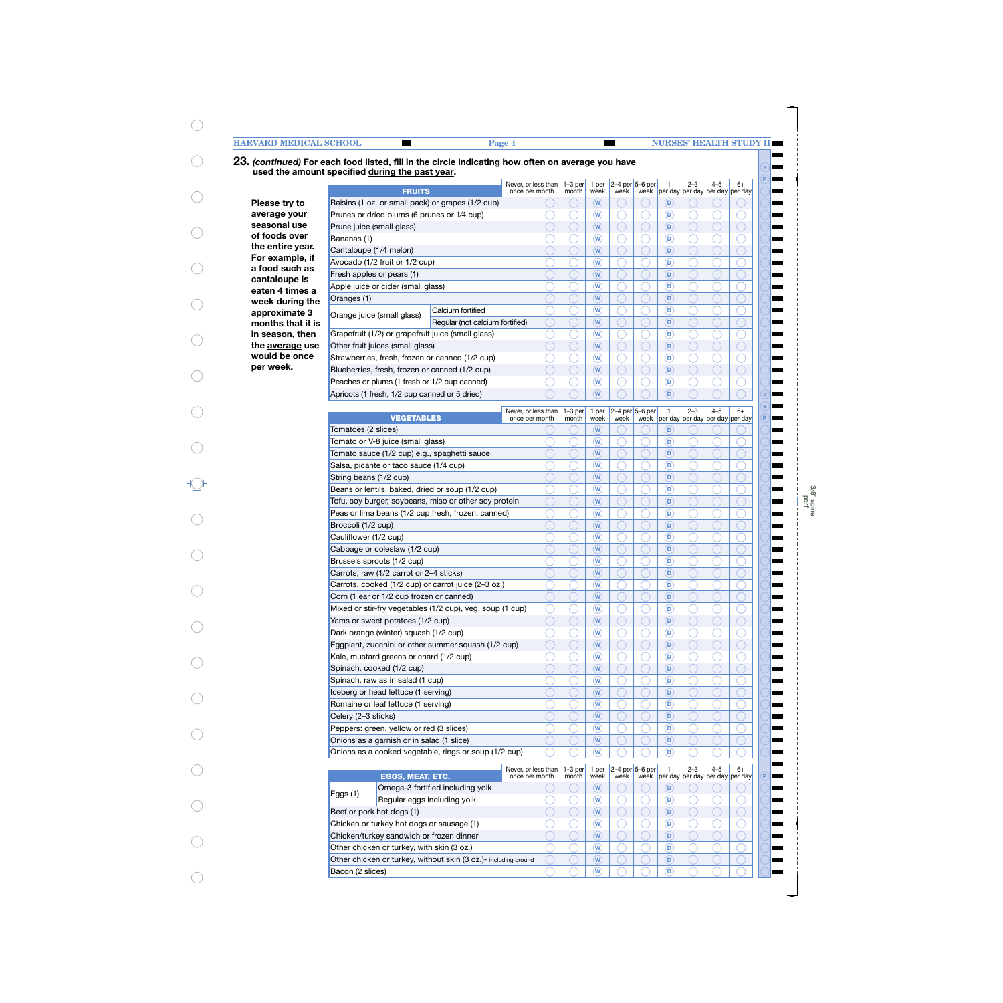### **23.** *(continued)* **For each food listed, fill in the circle indicating how often on average you have a used the amount specified during the past year. P** Never, or less than 1–3 per 2–3 4–5  $6+$ 1 per 1 2–4 per 5–6 per **FRUITS** per day per day once per month month week week week per day per day **Please try to** Raisins (1 oz. or small pack) or grapes (1/2 cup)  $W$   $\vert$   $\cup$   $\vert$   $\vert$   $\vert$   $\vert$   $\vert$   $\vert$   $\vert$ **average your** Prunes or dried plums (6 prunes or 1⁄4 cup) ∩ ∩ **W**  $\vert$  ( )  $\vert$  ( )  $\vert$  (  $\vert$  ) **seasonal use** Prune juice (small glass)  $\sqrt{2}$  $W$   $\vert$   $\cup$   $\vert$   $\vert$   $\vert$   $\vert$   $\vert$   $\vert$   $\vert$ **of foods over** Bananas (1) **W**  $\vert$  ( )  $\vert$  ( )  $\vert$  (  $\vert$   $\vert$ **the entire year.** Cantaloupe (1/4 melon)  $W$   $\vert$   $\cup$   $\vert$   $\vert$   $\vert$   $\vert$   $\vert$   $\vert$   $\vert$ **For example, if** Avocado (1/2 fruit or 1/2 cup)  $\cap$ ∩ ∩ **W**  $\vert$  ( )  $\vert$  ( )  $\vert$  (  $\vert$   $\vert$ **a food such as** Fresh apples or pears (1)  $W$   $\vert$   $\cup$   $\vert$   $\vert$   $\vert$   $\vert$   $\vert$   $\vert$   $\vert$ **cantaloupe is** Apple juice or cider (small glass) **W**  $\vert$  ( )  $\vert$  ( )  $\vert$  (  $\vert$   $\vert$ **eaten 4 times a** Oranges (1) **week during the**  $W$   $\vert$   $\cup$   $\vert$   $\vert$   $\vert$   $\vert$   $\vert$   $\vert$   $\vert$ Orange juice (small glass) Calcium fortified  $\overline{\cap}$  $\sqrt{}$  $\overline{\bigcap}$ **approximate 3 W**  $\vert$  ( )  $\vert$  ( )  $\vert$  (  $\vert$   $\vert$ Regular (not calcium fortified) **months that it is W D in season, then** Grapefruit (1/2) or grapefruit juice (small glass) **W**  $\vert$  ( )  $\vert$  ( )  $\vert$  (  $\vert$   $\vert$ **the average use** Other fruit juices (small glass)  $\omega$   $\Omega$   $\Omega$   $\Omega$ ∩ **would be once**  $\overline{\bigcap}$ Strawberries, fresh, frozen or canned (1/2 cup) **W**  $\vert$  ( )  $\vert$  ( )  $\vert$  (  $\vert$   $\vert$ **per week.** Blueberries, fresh, frozen or canned (1/2 cup) **W D** Peaches or plums (1 fresh or 1/2 cup canned) **W D** Apricots (1 fresh, 1/2 cup canned or 5 dried) **W**  $\vert$  ( )  $\vert$  ( )  $\vert$  (  $\vert$   $\vert$ **d e** Never, or less than 1–3 per 1 per 2–4 per  $5-6$  per 1 2–3 4–5 6+ **VEGETABLES** once per month month week week week per day per day **P** per day per day Tomatoes (2 slices) **W D** Tomato or V-8 juice (small glass)  $\curvearrowright$  $\subset$ ⌒ **W**  $\vert$  ( )  $\vert$  ( )  $\vert$  (  $\vert$   $\vert$ Tomato sauce (1/2 cup) e.g., spaghetti sauce **W**  $\vert$  ( )  $\vert$  ( )  $\vert$  (  $\vert$   $\vert$ Salsa, picante or taco sauce (1/4 cup) **W D** String beans (1/2 cup) ◠ **W**  $\vert$  ( )  $\vert$  ( )  $\vert$  (  $\vert$   $\vert$ Beans or lentils, baked, dried or soup (1/2 cup) **W D** Tofu, soy burger, soybeans, miso or other soy protein **W D** Peas or lima beans (1/2 cup fresh, frozen, canned) **W D** Broccoli (1/2 cup) **W D** Cauliflower (1/2 cup)  $\overline{\frown}$  $\overline{\cap}$  $\overline{\cap}$ **W D** Cabbage or coleslaw (1/2 cup) **W D** Brussels sprouts (1/2 cup)  $\left( \begin{array}{c} \end{array} \right)$ € **W D** Carrots, raw (1/2 carrot or 2–4 sticks) **W D** Carrots, cooked (1/2 cup) or carrot juice (2–3 oz.) ◝ C **W D** Corn (1 ear or 1/2 cup frozen or canned) **W D** Mixed or stir-fry vegetables (1/2 cup), veg. soup (1 cup) ◠ C **W D** Yams or sweet potatoes (1/2 cup) **W D** Dark orange (winter) squash (1/2 cup) **W D** Eggplant, zucchini or other summer squash (1/2 cup) **W D** Kale, mustard greens or chard (1/2 cup)  $\bigcap$ ∩ **W D** Spinach, cooked (1/2 cup) **W D** Spinach, raw as in salad (1 cup) **W D** Iceberg or head lettuce (1 serving) **W D** Romaine or leaf lettuce (1 serving) **W D** Celery (2–3 sticks) **W D** Peppers: green, yellow or red (3 slices) **W D** Onions as a garnish or in salad (1 slice) **W D** Onions as a cooked vegetable, rings or soup (1/2 cup) **W D** Never, or less than  $1-3$  per 1 per 1 2–3 4–5  $6+$ 5–6 per 2–4 per **EGGS, MEAT, ETC.** once per month month week week week **P** per day per day per day per day Omega-3 fortified including yolk **W D** Eggs  $(1)$  Regular eggs including yolk **W D** Beef or pork hot dogs (1) **W D** Chicken or turkey hot dogs or sausage (1)  $W \cap \bigcup_{i=1}^n A_i$ Chicken/turkey sandwich or frozen dinner **W D** Other chicken or turkey, with skin (3 oz.) **W D**

**W D**  $W \cap \bigcap_{i=1}^n A_i$ 

Other chicken or turkey, without skin (3 oz.)- including ground

Bacon (2 slices)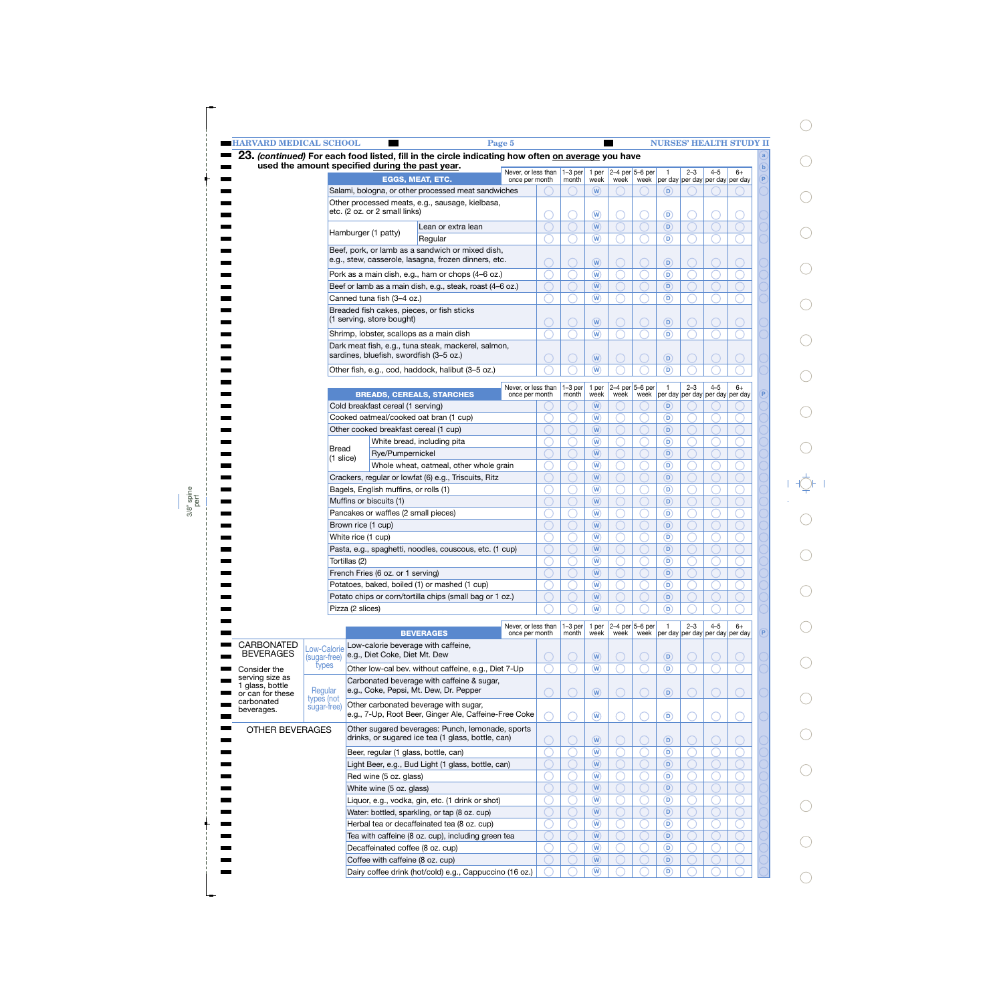| <b>HARVARD MEDICAL SCHOOL</b>      |                             |                                                    |                                                                                                   | Page 5                                |  |                          |                                      |      |                           |                                     |         |         | <b>NURSES' HEALTH STUDY II</b>                       |              |
|------------------------------------|-----------------------------|----------------------------------------------------|---------------------------------------------------------------------------------------------------|---------------------------------------|--|--------------------------|--------------------------------------|------|---------------------------|-------------------------------------|---------|---------|------------------------------------------------------|--------------|
|                                    |                             | used the amount specified during the past year.    | 23. (continued) For each food listed, fill in the circle indicating how often on average you have |                                       |  |                          |                                      |      |                           |                                     |         |         |                                                      | $\mathbf{b}$ |
|                                    |                             |                                                    | <b>EGGS, MEAT, ETC.</b>                                                                           | Never, or less than<br>once per month |  | $1-3$ per 1 per<br>month | week                                 | week | $2-4$ per 5-6 per         |                                     | $2 - 3$ | $4 - 5$ | $6+$<br>week   per day   per day   per day   per day | P            |
|                                    |                             |                                                    | Salami, bologna, or other processed meat sandwiches                                               |                                       |  |                          | (w)                                  |      |                           | D)                                  |         |         |                                                      |              |
|                                    |                             |                                                    | Other processed meats, e.g., sausage, kielbasa,                                                   |                                       |  |                          |                                      |      |                           |                                     |         |         |                                                      |              |
|                                    |                             | etc. (2 oz. or 2 small links)                      |                                                                                                   |                                       |  |                          | $\mathbf{\widehat{w}}$               |      |                           | $\circledcirc$                      |         |         |                                                      |              |
|                                    |                             | Lean or extra lean                                 |                                                                                                   |                                       |  |                          | $\left(\mathbf{W}\right)$            |      |                           | D)                                  |         |         |                                                      |              |
|                                    |                             | Hamburger (1 patty)                                | Regular                                                                                           |                                       |  |                          | $\left(\mathbf{W}\right)$            |      |                           | $\circ$                             |         |         |                                                      |              |
|                                    |                             |                                                    | Beef, pork, or lamb as a sandwich or mixed dish,                                                  |                                       |  |                          |                                      |      |                           |                                     |         |         |                                                      |              |
|                                    |                             |                                                    | e.g., stew, casserole, lasagna, frozen dinners, etc.                                              |                                       |  |                          | $\left(\widehat{\mathsf{W}}\right)$  |      |                           | $\left( \textbf{D}\right)$          |         |         |                                                      |              |
|                                    |                             |                                                    | Pork as a main dish, e.g., ham or chops (4-6 oz.)                                                 |                                       |  |                          | $\left(\widehat{\mathbf{W}}\right)$  |      |                           | $\circledcirc$                      |         |         |                                                      |              |
|                                    |                             |                                                    | Beef or lamb as a main dish, e.g., steak, roast (4-6 oz.)                                         |                                       |  |                          | $\left(\mathbf{W}\right)$            |      |                           | D)                                  |         |         |                                                      |              |
|                                    |                             | Canned tuna fish (3-4 oz.)                         |                                                                                                   |                                       |  |                          | $\left(\overline{\mathbf{W}}\right)$ |      |                           | $\circledcirc$                      |         |         |                                                      |              |
|                                    |                             | Breaded fish cakes, pieces, or fish sticks         |                                                                                                   |                                       |  |                          |                                      |      |                           |                                     |         |         |                                                      |              |
|                                    |                             | (1 serving, store bought)                          |                                                                                                   |                                       |  |                          | $\left(\widehat{\mathsf{W}}\right)$  |      |                           | $\circledR$                         |         |         |                                                      |              |
|                                    |                             | Shrimp, lobster, scallops as a main dish           |                                                                                                   |                                       |  |                          | $\left(\overline{\mathbf{W}}\right)$ |      |                           | $\circ$                             |         |         |                                                      |              |
|                                    |                             | sardines, bluefish, swordfish (3-5 oz.)            | Dark meat fish, e.g., tuna steak, mackerel, salmon,                                               |                                       |  |                          |                                      |      |                           |                                     |         |         |                                                      |              |
|                                    |                             |                                                    |                                                                                                   |                                       |  |                          | $\left(\widehat{\mathsf{W}}\right)$  |      |                           | $\left( \textbf{D}\right)$          |         |         |                                                      |              |
|                                    |                             |                                                    | Other fish, e.g., cod, haddock, halibut (3-5 oz.)                                                 |                                       |  |                          | $\left(\overline{\mathbf{W}}\right)$ |      |                           | $\circ$                             |         |         |                                                      |              |
|                                    |                             |                                                    |                                                                                                   | Never, or less than                   |  | $1-3$ per                | 1 per                                |      | $2-4$ per $5-6$ per       | $\overline{1}$                      | $2 - 3$ | $4 - 5$ | $6+$                                                 |              |
|                                    |                             |                                                    | <b>BREADS, CEREALS, STARCHES</b>                                                                  | once per month                        |  | month                    | week                                 | week |                           |                                     |         |         | week   per day   per day   per day   per day         |              |
|                                    |                             | Cold breakfast cereal (1 serving)                  |                                                                                                   |                                       |  |                          | $(\mathsf{W})$                       |      |                           | D)                                  |         |         |                                                      |              |
|                                    |                             | Cooked oatmeal/cooked oat bran (1 cup)             |                                                                                                   |                                       |  |                          | $\left(\widehat{\mathbf{W}}\right)$  |      |                           | (D)                                 |         |         |                                                      |              |
|                                    |                             | Other cooked breakfast cereal (1 cup)              |                                                                                                   |                                       |  |                          | $\left(\mathbf{W}\right)$            |      |                           | D)                                  |         |         |                                                      |              |
|                                    | <b>Bread</b>                |                                                    | White bread, including pita                                                                       |                                       |  |                          | $\left(\widehat{\mathbf{W}}\right)$  |      |                           | $\circledcirc$                      |         |         |                                                      |              |
|                                    |                             | Rye/Pumpernickel<br>$(1 \text{ slice})$            |                                                                                                   |                                       |  |                          | $\overline{w}$                       |      |                           | D)                                  |         |         |                                                      |              |
|                                    |                             |                                                    | Whole wheat, oatmeal, other whole grain                                                           |                                       |  |                          | $\left(\widehat{\mathbf{W}}\right)$  |      |                           | $\circledcirc$                      |         |         |                                                      |              |
|                                    |                             |                                                    | Crackers, regular or lowfat (6) e.g., Triscuits, Ritz                                             |                                       |  |                          | $\left(\widehat{\mathsf{W}}\right)$  |      |                           | D)                                  |         |         |                                                      |              |
|                                    |                             | Bagels, English muffins, or rolls (1)              |                                                                                                   |                                       |  |                          | $\left(\widehat{\mathbf{W}}\right)$  |      |                           | $\circledcirc$                      |         |         |                                                      |              |
|                                    |                             | Muffins or biscuits (1)                            |                                                                                                   |                                       |  |                          | $\left(\widehat{\mathsf{W}}\right)$  |      |                           | $\mathbf{D}$                        |         |         |                                                      |              |
|                                    |                             | Pancakes or waffles (2 small pieces)               |                                                                                                   |                                       |  |                          | $\left(\widehat{\mathbf{W}}\right)$  |      |                           | $\circledcirc$                      |         |         |                                                      |              |
|                                    |                             | Brown rice (1 cup)                                 |                                                                                                   |                                       |  |                          | $\left(\widehat{\mathsf{W}}\right)$  |      |                           | $\mathbf{D}$                        |         |         |                                                      |              |
|                                    |                             | White rice (1 cup)                                 |                                                                                                   |                                       |  |                          | $\circledR$                          |      |                           | $\circledcirc$                      |         |         |                                                      |              |
|                                    |                             |                                                    | Pasta, e.g., spaghetti, noodles, couscous, etc. (1 cup)                                           |                                       |  |                          | $\circledR$<br>$\overline{w}$        |      |                           | $\mathbf{D})$<br>$\overline{\circ}$ |         |         |                                                      |              |
|                                    |                             | Tortillas (2)<br>French Fries (6 oz. or 1 serving) |                                                                                                   |                                       |  |                          | $\widehat{w}$                        |      |                           | $\mathbf{D}$                        |         |         |                                                      |              |
|                                    |                             |                                                    | Potatoes, baked, boiled (1) or mashed (1 cup)                                                     |                                       |  |                          | $\circledR$                          |      |                           | $^\circledR$                        |         |         |                                                      |              |
|                                    |                             |                                                    | Potato chips or corn/tortilla chips (small bag or 1 oz.)                                          |                                       |  |                          | $\circledR$                          |      |                           | $\mathbf{D}$                        |         |         |                                                      |              |
|                                    |                             | Pizza (2 slices)                                   |                                                                                                   |                                       |  |                          | $\widehat{(\mathsf{W})}$             |      |                           | $^\circ$                            |         |         |                                                      |              |
|                                    |                             |                                                    |                                                                                                   |                                       |  |                          |                                      |      |                           |                                     |         |         |                                                      |              |
|                                    |                             |                                                    | <b>BEVERAGES</b>                                                                                  | Never, or less than<br>once per month |  | $1-3$ per<br>month       | 1 per<br>week                        | week | 2-4 per $5-6$ per<br>week | $\mathbf{1}$                        | $2 - 3$ | $4 - 5$ | $6+$<br>per day per day per day per day              |              |
| <b>CARBONATED</b>                  |                             | Low-calorie beverage with caffeine,                |                                                                                                   |                                       |  |                          |                                      |      |                           |                                     |         |         |                                                      |              |
| <b>BEVERAGES</b>                   | Low-Calorie<br>(sugar-free) | e.g., Diet Coke, Diet Mt. Dew                      |                                                                                                   |                                       |  |                          | $\circled{w}$                        |      |                           | $^\circledR$                        |         |         |                                                      |              |
| Consider the                       | types                       |                                                    | Other low-cal bev. without caffeine, e.g., Diet 7-Up                                              |                                       |  |                          | $\circledR$                          |      |                           | $\circledcirc$                      |         |         |                                                      |              |
| serving size as<br>1 glass, bottle |                             |                                                    | Carbonated beverage with caffeine & sugar,                                                        |                                       |  |                          |                                      |      |                           |                                     |         |         |                                                      |              |
| or can for these                   | Regular                     |                                                    | e.g., Coke, Pepsi, Mt. Dew, Dr. Pepper                                                            |                                       |  |                          | $\circledR$                          |      |                           | $^\copyright$                       |         |         |                                                      |              |
| carbonated<br>beverages.           | types (not<br>sugar-free)   |                                                    | Other carbonated beverage with sugar,                                                             |                                       |  |                          |                                      |      |                           |                                     |         |         |                                                      |              |
|                                    |                             |                                                    | e.g., 7-Up, Root Beer, Ginger Ale, Caffeine-Free Coke                                             |                                       |  |                          | $\circledast$                        |      |                           | $\circledcirc$                      |         |         |                                                      |              |
| OTHER BEVERAGES                    |                             |                                                    | Other sugared beverages: Punch, lemonade, sports                                                  |                                       |  |                          |                                      |      |                           |                                     |         |         |                                                      |              |
|                                    |                             |                                                    | drinks, or sugared ice tea (1 glass, bottle, can)                                                 |                                       |  |                          | $\circledR$                          |      |                           | $\large{\textsf{D}}$                |         |         |                                                      |              |
|                                    |                             | Beer, regular (1 glass, bottle, can)               |                                                                                                   |                                       |  |                          | $\circledast$                        |      |                           | $^\copyright$                       |         |         |                                                      |              |
|                                    |                             |                                                    | Light Beer, e.g., Bud Light (1 glass, bottle, can)                                                |                                       |  |                          | $\widehat{\mathsf{w}}$               |      |                           | $\mathbf{D}$                        |         |         |                                                      |              |
|                                    |                             | Red wine (5 oz. glass)                             |                                                                                                   |                                       |  |                          | $\circledR$                          |      |                           | $^\copyright$                       |         |         |                                                      |              |
|                                    |                             | White wine (5 oz. glass)                           |                                                                                                   |                                       |  |                          | $\widehat{\mathsf{w}}$               |      |                           | $\mathbf{D}$                        |         |         |                                                      |              |
|                                    |                             |                                                    | Liquor, e.g., vodka, gin, etc. (1 drink or shot)                                                  |                                       |  |                          | $\widehat{(\mathsf{W})}$             |      |                           | $^\copyright$                       |         |         |                                                      |              |
|                                    |                             |                                                    | Water: bottled, sparkling, or tap (8 oz. cup)                                                     |                                       |  |                          | $\circledR$                          |      |                           | $\mathbf{D}$                        |         |         |                                                      |              |
|                                    |                             |                                                    | Herbal tea or decaffeinated tea (8 oz. cup)                                                       |                                       |  |                          | $\circledR$                          |      |                           | $^\copyright$                       |         |         |                                                      |              |
|                                    |                             |                                                    |                                                                                                   |                                       |  |                          |                                      |      |                           |                                     |         |         |                                                      |              |
|                                    |                             |                                                    | Tea with caffeine (8 oz. cup), including green tea                                                |                                       |  |                          | $\circledR$                          |      |                           | $\mathbf{D}$                        |         |         |                                                      |              |
|                                    |                             | Decaffeinated coffee (8 oz. cup)                   |                                                                                                   |                                       |  |                          | $\widehat{(\mathsf{W})}$             |      |                           | $^\copyright$                       |         |         |                                                      |              |

3/8" spine perf